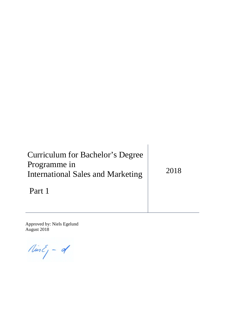| Curriculum for Bachelor's Degree<br>Programme in<br><b>International Sales and Marketing</b> | 2018 |
|----------------------------------------------------------------------------------------------|------|
| Part 1                                                                                       |      |

Approved by: Niels Egelund August 2018

 $\n *limit*  $\int -d$ \n$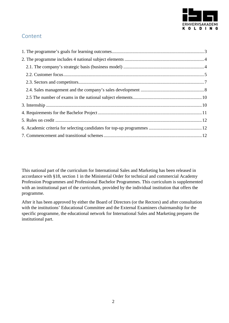

# Content

This national part of the curriculum for International Sales and Marketing has been released in accordance with §18, section 1 in the Ministerial Order for technical and commercial Academy Profession Programmes and Professional Bachelor Programmes. This curriculum is supplemented with an institutional part of the curriculum, provided by the individual institution that offers the programme.

After it has been approved by either the Board of Directors (or the Rectors) and after consultation with the institutions' Educational Committee and the External Examiners chairmanship for the specific programme, the educational network for International Sales and Marketing prepares the institutional part.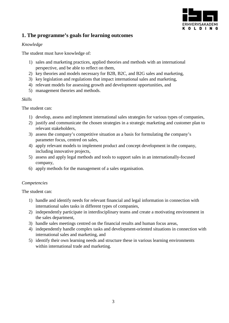

# <span id="page-2-0"></span>**1. The programme's goals for learning outcomes**

#### *Knowledge*

The student must have knowledge of:

- 1) sales and marketing practices, applied theories and methods with an international perspective, and be able to reflect on them,
- 2) key theories and models necessary for B2B, B2C, and B2G sales and marketing,
- 3) key legislation and regulations that impact international sales and marketing,
- 4) relevant models for assessing growth and development opportunities, and
- 5) management theories and methods.

#### *Skills*

The student can:

- 1) develop, assess and implement international sales strategies for various types of companies,
- 2) justify and communicate the chosen strategies in a strategic marketing and customer plan to relevant stakeholders,
- 3) assess the company's competitive situation as a basis for formulating the company's parameter focus, centred on sales,
- 4) apply relevant models to implement product and concept development in the company, including innovative projects,
- 5) assess and apply legal methods and tools to support sales in an internationally-focused company,
- 6) apply methods for the management of a sales organisation.

#### *Competencies*

The student can:

- 1) handle and identify needs for relevant financial and legal information in connection with international sales tasks in different types of companies,
- 2) independently participate in interdisciplinary teams and create a motivating environment in the sales department,
- 3) handle sales meetings centred on the financial results and human focus areas,
- 4) independently handle complex tasks and development-oriented situations in connection with international sales and marketing, and
- 5) identify their own learning needs and structure these in various learning environments within international trade and marketing.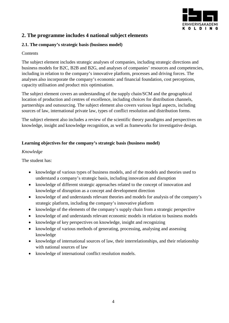

# <span id="page-3-0"></span>**2. The programme includes 4 national subject elements**

### <span id="page-3-1"></span>**2.1. The company's strategic basis (business model)**

### **Contents**

The subject element includes strategic analyses of companies, including strategic directions and business models for B2C, B2B and B2G, and analyses of companies' resources and competencies, including in relation to the company's innovative platform, processes and driving forces. The analyses also incorporate the company's economic and financial foundation, cost perceptions, capacity utilisation and product mix optimisation.

The subject element covers an understanding of the supply chain/SCM and the geographical location of production and centres of excellence, including choices for distribution channels, partnerships and outsourcing. The subject element also covers various legal aspects, including sources of law, international private law, types of conflict resolution and distribution forms.

The subject element also includes a review of the scientific theory paradigms and perspectives on knowledge, insight and knowledge recognition, as well as frameworks for investigative design.

### **Learning objectives for the company's strategic basis (business model)**

### *Knowledge*

The student has:

- knowledge of various types of business models, and of the models and theories used to understand a company's strategic basis, including innovation and disruption
- knowledge of different strategic approaches related to the concept of innovation and knowledge of disruption as a concept and development direction
- knowledge of and understands relevant theories and models for analysis of the company's strategic platform, including the company's innovative platform
- knowledge of the elements of the company's supply chain from a strategic perspective
- knowledge of and understands relevant economic models in relation to business models
- knowledge of key perspectives on knowledge, insight and recognizing
- knowledge of various methods of generating, processing, analysing and assessing knowledge
- knowledge of international sources of law, their interrelationships, and their relationship with national sources of law
- knowledge of international conflict resolution models.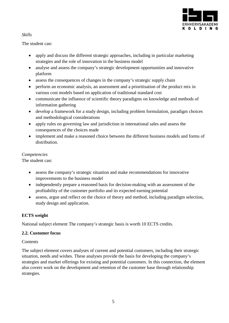

### *Skills*

The student can:

- apply and discuss the different strategic approaches, including in particular marketing strategies and the role of innovation in the business model
- analyse and assess the company's strategic development opportunities and innovative platform
- assess the consequences of changes in the company's strategic supply chain
- perform an economic analysis, an assessment and a prioritisation of the product mix in various cost models based on application of traditional standard cost
- communicate the influence of scientific theory paradigms on knowledge and methods of information gathering
- develop a framework for a study design, including problem formulation, paradigm choices and methodological considerations
- apply rules on governing law and jurisdiction in international sales and assess the consequences of the choices made
- implement and make a reasoned choice between the different business models and forms of distribution.

# *Competencies*

The student can:

- assess the company's strategic situation and make recommendations for innovative improvements to the business model
- independently prepare a reasoned basis for decision-making with an assessment of the profitability of the customer portfolio and its expected earning potential
- assess, argue and reflect on the choice of theory and method, including paradigm selection, study design and application.

# **ECTS weight**

National subject element The company's strategic basis is worth 10 ECTS credits.

# <span id="page-4-0"></span>**2.2. Customer focus**

# **Contents**

The subject element covers analyses of current and potential customers, including their strategic situation, needs and wishes. These analyses provide the basis for developing the company's strategies and market offerings for existing and potential customers. In this connection, the element also covers work on the development and retention of the customer base through relationship strategies.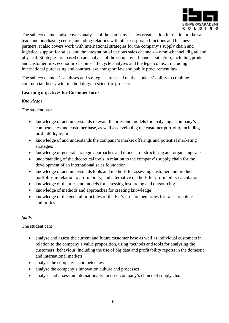

The subject element also covers analyses of the company's sales organisation in relation to the sales team and purchasing centre, including relations with other corporate functions and business partners. It also covers work with international strategies for the company's supply chain and logistical support for sales, and the integration of various sales channels – omni-channel, digital and physical. Strategies are based on an analysis of the company's financial situation, including product and customer mix, economic customer life cycle analyses and the legal context, including international purchasing and contract law, transport law and public procurement law.

The subject element's analyses and strategies are based on the students' ability to combine commercial theory with methodology in scientific projects.

### **Learning objectives for Customer focus**

#### *Knowledge*

The student has:

- knowledge of and understands relevant theories and models for analysing a company's competencies and customer base, as well as developing the customer portfolio, including profitability reports
- knowledge of and understands the company's market offerings and potential marketing strategies
- knowledge of general strategic approaches and models for structuring and organising sales
- understanding of the theoretical tools in relation to the company's supply chain for the development of an international sales foundation
- knowledge of and understands tools and methods for assessing customer and product portfolios in relation to profitability, and alternative methods for profitability calculation
- knowledge of theories and models for assessing insourcing and outsourcing
- knowledge of methods and approaches for creating knowledge
- knowledge of the general principles of the EU's procurement rules for sales to public authorities.

# *Skills*

The student can:

- analyse and assess the current and future customer base as well as individual customers in relation to the company's value proposition, using methods and tools for analysing the customers' behaviour, including the use of big data and profitability reports in the domestic and international markets
- analyse the company's competencies
- analyse the company's innovation culture and processes
- analyse and assess an internationally focused company's choice of supply chain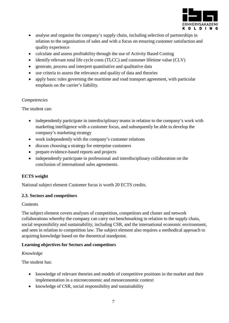

- analyse and organise the company's supply chain, including selection of partnerships in relation to the organisation of sales and with a focus on ensuring customer satisfaction and quality experience
- calculate and assess profitability through the use of Activity Based Costing
- identify relevant total life cycle costs (TLCC) and customer lifetime value (CLV)
- generate, process and interpret quantitative and qualitative data
- use criteria to assess the relevance and quality of data and theories
- apply basic rules governing the maritime and road transport agreement, with particular emphasis on the carrier's liability.

#### *Competencies*

The student can:

- independently participate in interdisciplinary teams in relation to the company's work with marketing intelligence with a customer focus, and subsequently be able to develop the company's marketing strategy
- work independently with the company's customer relations
- discuss choosing a strategy for enterprise customers
- prepare evidence-based reports and projects
- independently participate in professional and interdisciplinary collaboration on the conclusion of international sales agreements.

#### **ECTS weight**

National subject element Customer focus is worth 20 ECTS credits.

#### <span id="page-6-0"></span>**2.3. Sectors and competitors**

#### **Contents**

The subject element covers analyses of competition, competitors and cluster and network collaborations whereby the company can carry out benchmarking in relation to the supply chain, social responsibility and sustainability, including CSR, and the international economic environment, and seen in relation to competition law. The subject element also requires a methodical approach to acquiring knowledge based on the theoretical standpoint.

#### **Learning objectives for Sectors and competitors**

#### *Knowledge*

The student has:

- knowledge of relevant theories and models of competitive positions in the market and their implementation in a microeconomic and mesoeconomic context
- knowledge of CSR, social responsibility and sustainability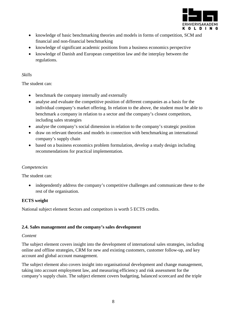

- knowledge of basic benchmarking theories and models in forms of competition, SCM and financial and non-financial benchmarking
- knowledge of significant academic positions from a business economics perspective
- knowledge of Danish and European competition law and the interplay between the regulations.

### *Skills*

The student can:

- benchmark the company internally and externally
- analyse and evaluate the competitive position of different companies as a basis for the individual company's market offering. In relation to the above, the student must be able to benchmark a company in relation to a sector and the company's closest competitors, including sales strategies
- analyse the company's social dimension in relation to the company's strategic position
- draw on relevant theories and models in connection with benchmarking an international company's supply chain
- based on a business economics problem formulation, develop a study design including recommendations for practical implementation.

# *Competencies*

The student can:

• independently address the company's competitive challenges and communicate these to the rest of the organisation.

# **ECTS weight**

National subject element Sectors and competitors is worth 5 ECTS credits.

# <span id="page-7-0"></span>**2.4. Sales management and the company's sales development**

#### *Content*

The subject element covers insight into the development of international sales strategies, including online and offline strategies, CRM for new and existing customers, customer follow-up, and key account and global account management.

The subject element also covers insight into organisational development and change management, taking into account employment law, and measuring efficiency and risk assessment for the company's supply chain. The subject element covers budgeting, balanced scorecard and the triple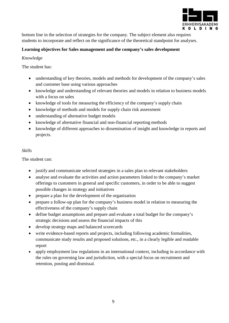

bottom line in the selection of strategies for the company. The subject element also requires students to incorporate and reflect on the significance of the theoretical standpoint for analyses.

### **Learning objectives for Sales management and the company's sales development**

### *Knowledge*

The student has:

- understanding of key theories, models and methods for development of the company's sales and customer base using various approaches
- knowledge and understanding of relevant theories and models in relation to business models with a focus on sales
- knowledge of tools for measuring the efficiency of the company's supply chain
- knowledge of methods and models for supply chain risk assessment
- understanding of alternative budget models
- knowledge of alternative financial and non-financial reporting methods
- knowledge of different approaches to dissemination of insight and knowledge in reports and projects.

# *Skills*

The student can:

- justify and communicate selected strategies in a sales plan to relevant stakeholders
- analyse and evaluate the activities and action parameters linked to the company's market offerings to customers in general and specific customers, in order to be able to suggest possible changes in strategy and initiatives
- prepare a plan for the development of the organisation
- prepare a follow-up plan for the company's business model in relation to measuring the effectiveness of the company's supply chain
- define budget assumptions and prepare and evaluate a total budget for the company's strategic decisions and assess the financial impacts of this
- develop strategy maps and balanced scorecards
- write evidence-based reports and projects, including following academic formalities, communicate study results and proposed solutions, etc., in a clearly legible and readable report
- apply employment law regulations in an international context, including in accordance with the rules on governing law and jurisdiction, with a special focus on recruitment and retention, posting and dismissal.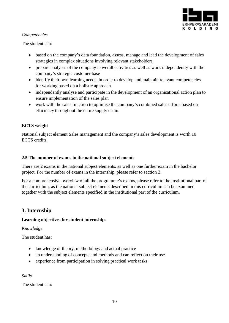

### *Competencies*

The student can:

- based on the company's data foundation, assess, manage and lead the development of sales strategies in complex situations involving relevant stakeholders
- prepare analyses of the company's overall activities as well as work independently with the company's strategic customer base
- identify their own learning needs, in order to develop and maintain relevant competencies for working based on a holistic approach
- independently analyse and participate in the development of an organisational action plan to ensure implementation of the sales plan
- work with the sales function to optimise the company's combined sales efforts based on efficiency throughout the entire supply chain.

# **ECTS weight**

National subject element Sales management and the company's sales development is worth 10 ECTS credits.

### <span id="page-9-0"></span>**2.5 The number of exams in the national subject elements**

There are 2 exams in the national subject elements, as well as one further exam in the bachelor project. For the number of exams in the internship, please refer to section 3.

For a comprehensive overview of all the programme's exams, please refer to the institutional part of the curriculum, as the national subject elements described in this curriculum can be examined together with the subject elements specified in the institutional part of the curriculum.

# <span id="page-9-1"></span>**3. Internship**

# **Learning objectives for student internships**

#### *Knowledge*

The student has:

- knowledge of theory, methodology and actual practice
- an understanding of concepts and methods and can reflect on their use
- experience from participation in solving practical work tasks.

*Skills*

The student can: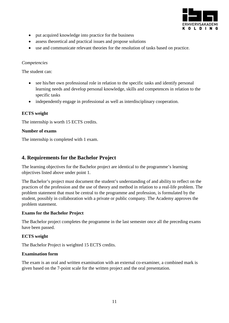

- put acquired knowledge into practice for the business
- assess theoretical and practical issues and propose solutions
- use and communicate relevant theories for the resolution of tasks based on practice.

#### *Competencies*

The student can:

- see his/her own professional role in relation to the specific tasks and identify personal learning needs and develop personal knowledge, skills and competences in relation to the specific tasks
- independently engage in professional as well as interdisciplinary cooperation.

#### **ECTS weight**

The internship is worth 15 ECTS credits.

#### **Number of exams**

The internship is completed with 1 exam.

# <span id="page-10-0"></span>**4. Requirements for the Bachelor Project**

The learning objectives for the Bachelor project are identical to the programme's learning objectives listed above under point 1.

The Bachelor's project must document the student's understanding of and ability to reflect on the practices of the profession and the use of theory and method in relation to a real-life problem. The problem statement that must be central to the programme and profession, is formulated by the student, possibly in collaboration with a private or public company. The Academy approves the problem statement.

#### **Exams for the Bachelor Project**

The Bachelor project completes the programme in the last semester once all the preceding exams have been passed.

#### **ECTS weight**

The Bachelor Project is weighted 15 ECTS credits.

#### **Examination form**

The exam is an oral and written examination with an external co-examiner, a combined mark is given based on the 7-point scale for the written project and the oral presentation.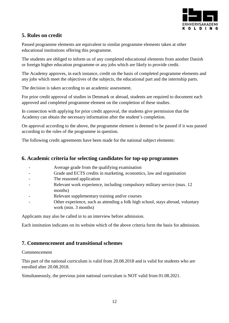

# <span id="page-11-0"></span>**5. Rules on credit**

Passed programme elements are equivalent to similar programme elements taken at other educational institutions offering this programme.

The students are obliged to inform us of any completed educational elements from another Danish or foreign higher education programme or any jobs which are likely to provide credit.

The Academy approves, in each instance, credit on the basis of completed programme elements and any jobs which meet the objectives of the subjects, the educational part and the internship parts.

The decision is taken according to an academic assessment.

For prior credit approval of studies in Denmark or abroad, students are required to document each approved and completed programme element on the completion of these studies.

In connection with applying for prior credit approval, the students give permission that the Academy can obtain the necessary information after the student's completion.

On approval according to the above, the programme element is deemed to be passed if it was passed according to the rules of the programme in question.

The following credit agreements have been made for the national subject elements:

# <span id="page-11-1"></span>**6. Academic criteria for selecting candidates for top-up programmes**

- Average grade from the qualifying examination
- Grade and ECTS credits in marketing, economics, law and organisation
- The reasoned application
- Relevant work experience, including compulsory military service (max. 12) months)
- Relevant supplementary training and/or courses
- Other experience, such as attending a folk high school, stays abroad, voluntary work (min. 3 months)

Applicants may also be called in to an interview before admission.

Each institution indicates on its website which of the above criteria form the basis for admission.

# <span id="page-11-2"></span>**7. Commencement and transitional schemes**

#### Commencement

This part of the national curriculum is valid from 20.08.2018 and is valid for students who are enrolled after 20.08.2018.

Simultaneously, the previous joint national curriculum is NOT valid from 01.08.2021.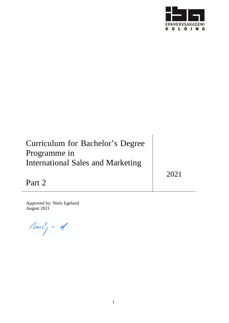

# Curriculum for Bachelor's Degree Programme in International Sales and Marketing

2021

Part 2

Approved by: Niels Egelund August 2021

 $NusE_j - d$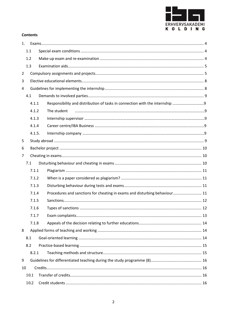

#### **Contents**

| 1 <sub>1</sub> |     |        |                                                                            |  |
|----------------|-----|--------|----------------------------------------------------------------------------|--|
|                | 1.1 |        |                                                                            |  |
|                | 1.2 |        |                                                                            |  |
|                | 1.3 |        |                                                                            |  |
| $\overline{2}$ |     |        |                                                                            |  |
| 3              |     |        |                                                                            |  |
| 4              |     |        |                                                                            |  |
|                | 4.1 |        |                                                                            |  |
|                |     | 4.1.1  | Responsibility and distribution of tasks in connection with the internship |  |
|                |     | 4.1.2  | The student                                                                |  |
|                |     | 4.1.3  |                                                                            |  |
|                |     | 4.1.4  |                                                                            |  |
|                |     | 4.1.5. |                                                                            |  |
| 5              |     |        |                                                                            |  |
| 6              |     |        |                                                                            |  |
| $\overline{7}$ |     |        |                                                                            |  |
|                | 7.1 |        |                                                                            |  |
|                |     | 7.1.1  |                                                                            |  |
|                |     | 7.1.2  |                                                                            |  |
|                |     | 7.1.3  |                                                                            |  |
|                |     | 7.1.4  | Procedures and sanctions for cheating in exams and disturbing behaviour 11 |  |
|                |     | 7.1.5  |                                                                            |  |
|                |     | 7.1.6  |                                                                            |  |
|                |     | 7.1.7  |                                                                            |  |
|                |     | 7.1.8  |                                                                            |  |
| 8              |     |        |                                                                            |  |
|                | 8.1 |        |                                                                            |  |
|                | 8.2 |        |                                                                            |  |
|                |     | 8.2.1  |                                                                            |  |
| 9              |     |        |                                                                            |  |
| 10             |     |        |                                                                            |  |
|                |     | 10.1   |                                                                            |  |
|                |     | 10.2   |                                                                            |  |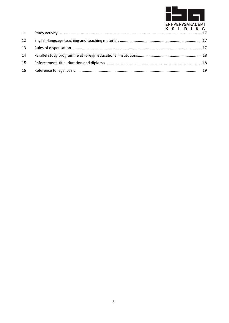

| 12 |  |  |  |  |
|----|--|--|--|--|
| 13 |  |  |  |  |
| 14 |  |  |  |  |
| 15 |  |  |  |  |
|    |  |  |  |  |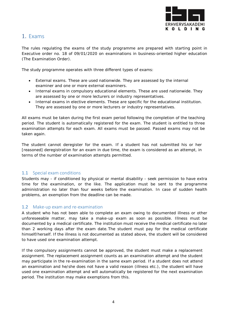

# <span id="page-15-0"></span>1. Exams

The rules regulating the exams of the study programme are prepared with starting point in Executive order no. 18 of 09/01/2020 on examinations in business-oriented higher education (The Examination Order).

The study programme operates with three different types of exams:

- External exams. These are used nationwide. They are assessed by the internal examiner and one or more external examiners.
- Internal exams in compulsory educational elements. These are used nationwide. They are assessed by one or more lecturers or industry representatives.
- Internal exams in elective elements. These are specific for the educational institution. They are assessed by one or more lecturers or industry representatives.

All exams must be taken during the first exam period following the completion of the teaching period. The student is automatically registered for the exam. The student is entitled to three examination attempts for each exam. All exams must be passed. Passed exams may not be taken again.

The student cannot deregister for the exam. If a student has not submitted his or her [reasoned] deregistration for an exam in due time, the exam is considered as an attempt, in terms of the number of examination attempts permitted.

#### <span id="page-15-1"></span>1.1 Special exam conditions

Students may - if conditioned by physical or mental disability - seek permission to have extra time for the examination, or the like. The application must be sent to the programme administration no later than four weeks before the examination. In case of sudden health problems, an exemption from the deadline can be made.

# <span id="page-15-2"></span>1.2 Make-up exam and re-examination

A student who has not been able to complete an exam owing to documented illness or other unforeseeable matter, may take a make-up exam as soon as possible. Illness must be documented by a medical certificate. The institution must receive the medical certificate no later than 2 working days after the exam date.The student must pay for the medical certificate himself/herself. If the illness is not documented as stated above, the student will be considered to have used one examination attempt.

If the compulsory assignments cannot be approved, the student must make a replacement assignment. The replacement assignment counts as an examination attempt and the student may participate in the re-examination in the same exam period. If a student does not attend an examination and he/she does not have a valid reason (illness etc.), the student will have used one examination attempt and will automatically be registered for the next examination period. The institution may make exemptions from this.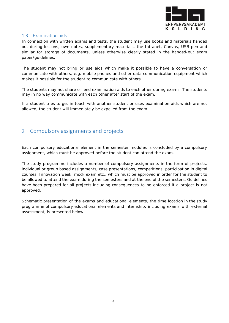

#### <span id="page-16-0"></span>1.3 Examination aids

In connection with written exams and tests, the student may use books and materials handed out during lessons, own notes, supplementary materials, the Intranet, Canvas, USB-pen and similar for storage of documents, unless otherwise clearly stated in the handed-out exam paper/guidelines.

The student may not bring or use aids which make it possible to have a conversation or communicate with others, e.g. mobile phones and other data communication equipment which makes it possible for the student to communicate with others.

The students may not share or lend examination aids to each other during exams. The students may in no way communicate with each other after start of the exam.

If a student tries to get in touch with another student or uses examination aids which are not allowed, the student will immediately be expelled from the exam.

# <span id="page-16-1"></span>2 Compulsory assignments and projects

Each compulsory educational element in the semester modules is concluded by a compulsory assignment, which must be approved before the student can attend the exam.

The study programme includes a number of compulsory assignments in the form of projects, individual or group based assignments, case presentations, competitions, participation in digital courses, Innovation week, mock exam etc., which must be approved in order for the student to be allowed to attend the exam during the semesters and at the end of the semesters. Guidelines have been prepared for all projects including consequences to be enforced if a project is not approved.

Schematic presentation of the exams and educational elements, the time location in the study programme of compulsory educational elements and internship, including exams with external assessment, is presented below.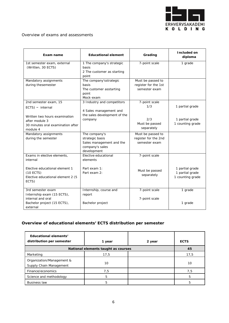

#### Overview of exams and assessments

| Exam name                                                                                                                                       | <b>Educational element</b>                                                                      | Grading                                                     | Included on<br>diploma                                 |  |
|-------------------------------------------------------------------------------------------------------------------------------------------------|-------------------------------------------------------------------------------------------------|-------------------------------------------------------------|--------------------------------------------------------|--|
| 1st semester exam, external<br>(Written, 30 ECTS)                                                                                               | 1 The company's strategic<br>basis<br>2 The customer as starting<br>point                       | 7-point scale                                               | 1 grade                                                |  |
| Mandatory assignments<br>during thesemester                                                                                                     | The company'sstrategic<br>basis<br>The customer asstarting<br>point<br>Mock-exam                | Must be passed to<br>register for the 1st<br>semester exam  |                                                        |  |
| 2nd semester exam, 15<br>$ECTS)$ - internal<br>Written two hours examination<br>after module 3<br>30 minutes oral examination after<br>module 4 | 3 Industry and competitors<br>4 Sales management and<br>the sales development of the<br>company | 7-point scale<br>1/3<br>2/3<br>Must be passed<br>separately | 1 partial grade<br>1 partial grade<br>1 counting grade |  |
| Mandatory assignments<br>during the semester                                                                                                    | The company's<br>strategic basis<br>Sales management and the<br>company's sales<br>development  | Must be passed to<br>register for the 2nd<br>semester exam  |                                                        |  |
| Exams in elective elements,<br>internal<br>Elective educational element 1<br>$(10$ ECTS)<br>Elective educational element 2 (5<br>ECTS)          | Elective educational<br>elements<br>Part exam 1:<br>Part exam 2:                                | 7-point scale<br>Must be passed<br>separately               | 1 partial grade<br>1 partial grade<br>1 counting grade |  |
| 3rd semester exam<br>Internship exam (15 ECTS),<br>internal and oral<br>Bachelor project (15 ECTS),<br>external                                 | Internship, course and<br>report<br>Bachelor project                                            | 7-point scale<br>7-point scale                              | 1 grade<br>1 grade                                     |  |

### **Overview of educational elements' ECTS distribution per semester**

| Educational elements'<br>distribution per semester   | 1 year | 2 year | <b>ECTS</b> |
|------------------------------------------------------|--------|--------|-------------|
| National elements taught as courses                  | 45     |        |             |
| Marketing                                            | 17,5   |        | 17,5        |
| Organization/Management &<br>Supply Chain Management | 10     |        | 10          |
| Finance/economics                                    | 7,5    |        | 7,5         |
| Science and methodology                              | 5      |        | 5           |
| <b>Business law</b>                                  | 5      |        | 5           |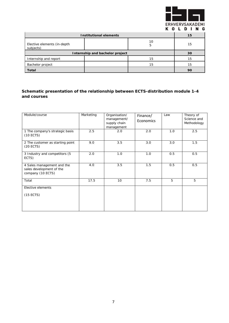

| <b>Institutional elements</b>            |    |         | 15 |
|------------------------------------------|----|---------|----|
| Elective elements (in-depth<br>subjects) |    | 10<br>5 | 15 |
| Internship and bachelor project          | 30 |         |    |
| Internship and report                    |    | 15      | 15 |
| Bachelor project                         |    | 15      | 15 |
| <b>Total</b>                             |    |         | 90 |

#### **Schematic presentation of the relationship between ECTS-distribution module 1-4 and courses**

| Module/course                                                               | Marketing | Organisation/<br>management/<br>supply chain<br>management | Finance/<br>Economics | Law | Theory of<br>Science and<br>Methodology |
|-----------------------------------------------------------------------------|-----------|------------------------------------------------------------|-----------------------|-----|-----------------------------------------|
| 1 The company's strategic basis<br>$(10$ ECTS)                              | 2.5       | 2.0                                                        | 2.0                   | 1.0 | 2.5                                     |
| 2 The customer as starting point<br>$(20$ ECTS)                             | 9.0       | 3.5                                                        | 3.0                   | 3.0 | 1.5                                     |
| 3 Industry and competitors (5<br>ECTS)                                      | 2.0       | 1.0                                                        | 1.0                   | 0.5 | 0.5                                     |
| 4 Sales management and the<br>sales development of the<br>company (10 ECTS) | 4.0       | 3.5                                                        | 1.5                   | 0.5 | 0.5                                     |
| Total                                                                       | 17.5      | 10                                                         | 7.5                   | 5   | 5                                       |
| Elective elements<br>$(15$ ECTS)                                            |           |                                                            |                       |     |                                         |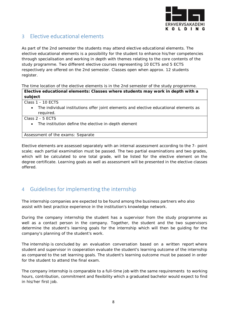

# <span id="page-19-0"></span>3 Elective educational elements

As part of the 2nd semester the students may attend elective educational elements. The elective educational elements is a possibility for the student to enhance his/her competencies through specialisation and working in depth with themes relating to the core contents of the study programme. Two different elective courses representing 10 ECTS and 5 ECTS respectively are offered on the 2nd semester. Classes open when approx. 12 students register.

The time location of the elective elements is in the 2nd semester of the study programme.

**Elective educational elements: Classes where students may work in depth with a subject**

| Class 1 - 10 ECTS |  |
|-------------------|--|
|-------------------|--|

- The individual institutions offer joint elements and elective educational elements as required.
- Class 2 5 ECTS
	- The institution define the elective in-depth element

Assessment of the exams: Separate

Elective elements are assessed separately with an internal assessment according to the 7- point scale; each partial examination must be passed. The two partial examinations and two grades, which will be calculated to one total grade, will be listed for the elective element on the degree certificate. Learning goals as well as assessment will be presented in the elective classes offered.

# <span id="page-19-1"></span>4 Guidelines for implementing the internship

The internship companies are expected to be found among the business partners who also assist with best practice experience in the institution's knowledge network.

During the company internship the student has a supervisor from the study programme as well as a contact person in the company. Together, the student and the two supervisors determine the student's learning goals for the internship which will then be guiding for the company's planning of the student's work.

The internship is concluded by an evaluation conversation based on a written report where student and supervisor in cooperation evaluate the student's learning outcome of the internship as compared to the set learning goals. The student's learning outcome must be passed in order for the student to attend the final exam.

The company internship is comparable to a full-time job with the same requirements to working hours, contribution, commitment and flexibility which a graduated bachelor would expect to find in his/her first job.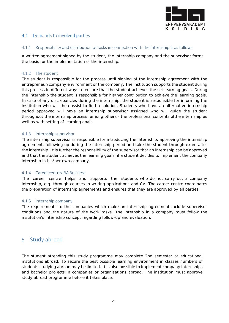

#### <span id="page-20-0"></span>4.1 Demands to involved parties

#### 4.1.1 Responsibility and distribution of tasks in connection with the internship is as follows:

A written agreement signed by the student, the internship company and the supervisor forms the basis for the implementation of the internship.

#### <span id="page-20-1"></span>4.1.2 The student

The student is responsible for the process until signing of the internship agreement with the entrepreneur/company environment or the company. The institution supports the student during this process in different ways to ensure that the student achieves the set learning goals. During the internship the student is responsible for his/her contribution to achieve the learning goals. In case of any discrepancies during the internship, the student is responsible for informing the institution who will then assist to find a solution. Students who have an alternative internship period approved will have an internship supervisor assigned who will guide the student throughout the internship process, among others - the professional contents ofthe internship as well as with setting of learning goals.

#### <span id="page-20-2"></span>4.1.3 Internship supervisor

The internship supervisor is responsible for introducing the internship, approving the internship agreement, following up during the internship period and take the student through exam after the internship. It is further the responsibility of the supervisor that an internship can be approved and that the student achieves the learning goals, if a student decides to implement the company internship in his/her own company.

#### <span id="page-20-3"></span>4.1.4 Career centre/IBA Business

The career centre helps and supports the students who do not carry out a company internship, e.g. through courses in writing applications and CV. The career centre coordinates the preparation of internship agreements and ensures that they are approved by all parties.

#### <span id="page-20-4"></span>4.1.5 Internship company

The requirements to the companies which make an internship agreement include supervisor conditions and the nature of the work tasks. The internship in a company must follow the institution's internship concept regarding follow-up and evaluation.

# <span id="page-20-5"></span>5 Study abroad

The student attending this study programme may complete 2nd semester at educational institutions abroad. To secure the best possible learning environment in classes numbers of students studying abroad may be limited. It is also possible to implement company internships and bachelor projects in companies or organisations abroad. The institution must approve study abroad programme before it takes place.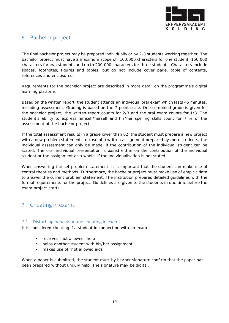

# <span id="page-21-0"></span>6 Bachelor project

The final bachelor project may be prepared individually or by 2-3 students working together. The bachelor project must have a maximum scope of: 100,000 characters for one student, 150,000 characters for two students and up to 200,000 characters for three students. Characters include spaces, footnotes, figures and tables, but do not include cover page, table of contents, references and enclosures.

Requirements for the bachelor project are described in more detail on the programme's digital learning platform.

Based on the written report, the student attends an individual oral exam which lasts 45 minutes, including assessment. Grading is based on the 7-point scale. One combined grade is given for the bachelor project; the written report counts for 2/3 and the oral exam counts for 1/3. The student's ability to express himself/herself and his/her spelling skills count for 7 % of the assessment of the bachelor project.

If the total assessment results in a grade lower than 02, the student must prepare a new project with a new problem statement. In case of a written assignment prepared by more students, the individual assessment can only be made, if the contribution of the individual student can be stated. The oral individual presentation is based either on the contribution of the individual student or the assignment as a whole, if the individualisation is not stated.

When answering the set problem statement, it is important that the student can make use of central theories and methods. Furthermore, the bachelor project must make use of empiric data to answer the current problem statement. The institution prepares detailed guidelines with the formal requirements for the project. Guidelines are given to the students in due time before the exam project starts.

# <span id="page-21-1"></span>7 Cheating in exams

#### <span id="page-21-2"></span>7.1 Disturbing behaviour and cheating in exams

It is considered cheating if a student in connection with an exam

- receives "not allowed" help
- helps another student with his/her assignment
- makes use of "not allowed aids"

When a paper is submitted, the student must by his/her signature confirm that the paper has been prepared without unduly help. The signature may be digital.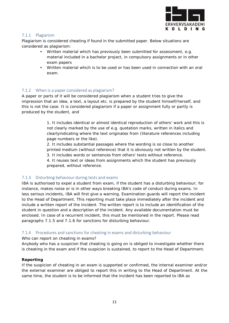

#### <span id="page-22-0"></span>7.1.1 Plagiarism

Plagiarism is considered cheating if found in the submitted paper. Below situations are considered as plagiarism:

- Written material which has previously been submitted for assessment, e.g. material included in a bachelor project, in compulsory assignments or in other exam papers
- Written material which is to be used or has been used in connection with an oral exam.

#### <span id="page-22-1"></span>7.1.2 When is a paper considered as plagiarism?

A paper or parts of it will be considered plagiarism when a student tries to give the impression that an idea, a text, a layout etc. is prepared by the student himself/herself, and this is not the case. It is considered plagiarism if a paper or assignment fully or partly is produced by the student, and

> 1. It includes identical or almost identical reproduction of others' work and this is not clearly marked by the use of e.g. quotation marks, written in italics and clearlyindicating where the text originates from (literature references including page numbers or the like).

2. It includes substantial passages where the wording is so close to another printed medium (without reference) that it is obviously not written by the student.

3. It includes words or sentences from others' texts without reference.

4. It reuses text or ideas from assignments which the student has previously prepared, without reference.

#### <span id="page-22-2"></span>7.1.3 Disturbing behaviour during tests and exams

IBA is authorised to expel a student from exam, if the student has a disturbing behaviour; for instance, makes noise or is in other ways breaking IBA's code of conduct during exams. In less serious incidents, IBA will first give a warning. Examination guards will report the incident to the Head of Department. This reporting must take place immediately after the incident and include a written report of the incident. The written report is to include an identification of the student in question and a description of the incident. Any available documentation must be enclosed. In case of a recurrent incident, this must be mentioned in the report. Please read paragraphs 7.1.5 and 7.1.6 for sanctions for disturbing behaviour.

#### <span id="page-22-3"></span>7.1.4 Procedures and sanctions for cheating in exams and disturbing behaviour

#### Who can report on cheating in exams?

Anybody who has a suspicion that cheating is going on is obliged to investigate whether there is cheating in the exam and if the suspicion is sustained, to report to the Head of Department.

#### **Reporting**

If the suspicion of cheating in an exam is supported or confirmed, the internal examiner and/or the external examiner are obliged to report this in writing to the Head of Department. At the same time, the student is to be informed that the incident has been reported to IBA as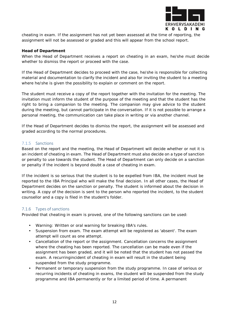

cheating in exam. If the assignment has not yet been assessed at the time of reporting, the assignment will not be assessed or graded and this will appear from the school report.

#### **Head of Department**

When the Head of Department receives a report on cheating in an exam, he/she must decide whether to dismiss the report or proceed with the case.

If the Head of Department decides to proceed with the case, he/she is responsible for collecting material and documentation to clarify the incident and also for inviting the student to a meeting where he/she is given the possibility to explain or comment on the report.

The student must receive a copy of the report together with the invitation for the meeting. The invitation must inform the student of the purpose of the meeting and that the student has the right to bring a companion to the meeting. The companion may give advice to the student during the meeting, but cannot participate in the conversation. If it is not possible to arrange a personal meeting, the communication can take place in writing or via another channel.

If the Head of Department decides to dismiss the report, the assignment will be assessed and graded according to the normal procedures.

#### <span id="page-23-0"></span>7.1.5 Sanctions

Based on the report and the meeting, the Head of Department will decide whether or not it is an incident of cheating in exam. The Head of Department must also decide on a type of sanction or penalty to use towards the student. The Head of Department can only decide on a sanction or penalty if the incident is beyond doubt a case of cheating in exam.

If the incident is so serious that the student is to be expelled from IBA, the incident must be reported to the IBA Principal who will make the final decision. In all other cases, the Head of Department decides on the sanction or penalty. The student is informed about the decision in writing. A copy of the decision is sent to the person who reported the incident, to the student counsellor and a copy is filed in the student's folder.

#### <span id="page-23-1"></span>7.1.6 Types of sanctions

Provided that cheating in exam is proved, one of the following sanctions can be used:

- Warning: Written or oral warning for breaking IBA's rules.
- Suspension from exam. The exam attempt will be registered as 'absent'. The exam attempt will count as one attempt.
- Cancellation of the report or the assignment. Cancellation concerns the assignment where the cheating has been reported. The cancellation can be made even if the assignment has been graded, and it will be noted that the student has not passed the exam. A recurringincident of cheating in exam will result in the student being suspended from the study programme.
- Permanent or temporary suspension from the study programme. In case of serious or recurring incidents of cheating in exams, the student will be suspended from the study programme and IBA permanently or for a limited period of time. A permanent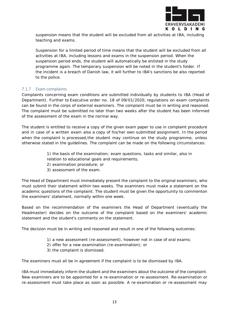

suspension means that the student will be excluded from all activities at IBA, including teaching and exams.

Suspension for a limited period of time means that the student will be excluded from all activities at IBA, including lessons and exams in the suspension period. When the suspension period ends, the student will automatically be enlisted in the study programme again. The temporary suspension will be noted in the student's folder. If the incident is a breach of Danish law, it will further to IBA's sanctions be also reported to the police.

#### <span id="page-24-0"></span>7.1.7 Exam complaints

Complaints concerning exam conditions are submitted individually by students to IBA (Head of Department). Further to Executive order no. 18 of 09/01/2020, regulations on exam complaints can be found in the corps of external examiners. The complaint must be in writing and reasoned. The complaint must be submitted no later than two weeks after the student has been informed of the assessment of the exam in the normal way.

The student is entitled to receive a copy of the given exam paper to use in complaint procedure and in case of a written exam also a copy of his/her own submitted assignment. In the period when the complaint is processed, the student may continue on the study programme, unless otherwise stated in the guidelines. The complaint can be made on the following circumstances:

> 1) the basis of the examination; exam questions, tasks and similar, also in relation to educational goals and requirements;

- 2) examination procedure; or
- 3) assessment of the exam.

The Head of Department must immediately present the complaint to the original examiners, who must submit their statement within two weeks. The examiners must make a statement on the academic questions of the complaint. The student must be given the opportunity to commenton the examiners' statement, normally within one week.

Based on the recommendation of the examiners the Head of Department (eventually the Headmaster) decides on the outcome of the complaint based on the examiners' academic statement and the student's comments on the statement.

The decision must be in writing and reasoned and result in one of the following outcomes:

- 1) a new assessment (re-assessment), however not in case of oral exams;
- 2) offer for a new examination (re-examination); or
- 3) the complaint is dismissed.

The examiners must all be in agreement if the complaint is to be dismissed by IBA.

IBA must immediately inform the student and the examiners about the outcome of the complaint. New examiners are to be appointed for a re-examination or re-assessment. Re-examination or re-assessment must take place as soon as possible. A re-examination or re-assessment may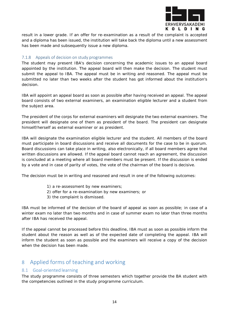

result in a lower grade. If an offer for re-examination as a result of the complaint is accepted and a diploma has been issued, the institution will take back the diploma until a new assessment has been made and subsequently issue a new diploma.

#### <span id="page-25-0"></span>7.1.8 Appeals of decision on study programmes

The student may present IBA's decision concerning the academic issues to an appeal board appointed by the institution. The appeal board will then make the decision. The student must submit the appeal to IBA. The appeal must be in writing and reasoned. The appeal must be submitted no later than two weeks after the student has got informed about the institution's decision.

IBA will appoint an appeal board as soon as possible after having received an appeal. The appeal board consists of two external examiners, an examination eligible lecturer and a student from the subject area.

The president of the corps for external examiners will designate the two external examiners. The president will designate one of them as president of the board. The president can designate himself/herself as external examiner or as president.

IBA will designate the examination eligible lecturer and the student. All members of the board must participate in board discussions and receive all documents for the case to be in quorum. Board discussions can take place in writing, also electronically, if all board members agree that written discussions are allowed. If the appeal board cannot reach an agreement, the discussion is concluded at a meeting where all board members must be present. If the discussion is ended by a vote and in case of parity of votes, the vote of the chairman of the board is decisive.

The decision must be in writing and reasoned and result in one of the following outcomes:

- 1) a re-assessment by new examiners;
- 2) offer for a re-examination by new examiners; or
- 3) the complaint is dismissed.

IBA must be informed of the decision of the board of appeal as soon as possible; in case of a winter exam no later than two months and in case of summer exam no later than three months after IBA has received the appeal.

If the appeal cannot be processed before this deadline, IBA must as soon as possible inform the student about the reason as well as of the expected date of completing the appeal. IBA will inform the student as soon as possible and the examiners will receive a copy of the decision when the decision has been made.

# <span id="page-25-1"></span>8 Applied forms of teaching and working

#### <span id="page-25-2"></span>8.1 Goal-oriented learning

The study programme consists of three semesters which together provide the BA student with the competencies outlined in the study programme curriculum.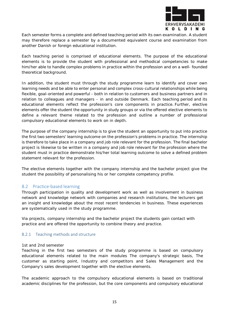

Each semester forms a complete and defined teaching period with its own examination. A student may therefore replace a semester by a documented equivalent course and examination from another Danish or foreign educational institution.

Each teaching period is comprised of educational elements. The purpose of the educational elements is to provide the student with professional and methodical competencies to make him/her able to handle complex problems in practice within the profession and on a well- founded theoretical background.

In addition, the student must through the study programme learn to identify and cover own learning needs and be able to enter personal and complex cross-cultural relationships while being flexible, goal-oriented and powerful - both in relation to customers and business partners and in relation to colleagues and managers - in and outside Denmark. Each teaching period and its educational elements reflect the profession's core components in practice. Further, elective elements offer the student the opportunity in study groups or via the offered elective elements to define a relevant theme related to the profession and outline a number of professional compulsory educational elements to work on in depth.

The purpose of the company internship is to give the student an opportunity to put into practice the first two semesters' learning outcome on the profession's problems in practice. The internship is therefore to take place in a company and job role relevant for the profession. The final bachelor project is likewise to be written in a company and job role relevant for the profession where the student must in practice demonstrate his/her total learning outcome to solve a defined problem statement relevant for the profession.

The elective elements together with the company internship and the bachelor project give the student the possibility of personalising his or her complete competency profile.

#### <span id="page-26-0"></span>8.2 Practice-based learning

Through participation in quality and development work as well as involvement in business network and knowledge network with companies and research institutions, the lecturers get an insight and knowledge about the most recent tendencies in business. These experiences are systematically used in the study programme.

Via projects, company internship and the bachelor project the students gain contact with practice and are offered the opportunity to combine theory and practice.

#### <span id="page-26-1"></span>8.2.1 Teaching methods and structure

#### 1st and 2nd semester

Teaching in the first two semesters of the study programme is based on compulsory educational elements related to the main modules The company's strategic basis, The customer as starting point, Industry and competitors and Sales Management and the Company's sales development together with the elective elements.

The academic approach to the compulsory educational elements is based on traditional academic disciplines for the profession, but the core components and compulsory educational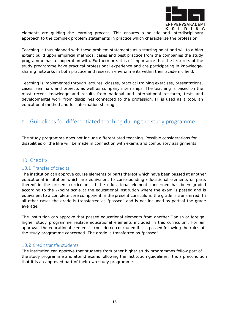

elements are guiding the learning process. This ensures a holistic and interdisciplinary approach to the complex problem statements in practice which characterise the profession.

Teaching is thus planned with these problem statements as a starting point and will to a high extent build upon empirical methods, cases and best practice from the companies the study programme has a cooperation with. Furthermore, it is of importance that the lecturers of the study programme have practical professional experience and are participating in knowledgesharing networks in both practice and research environments within their academic field.

Teaching is implemented through lectures, classes, practical training exercises, presentations, cases, seminars and projects as well as company internships. The teaching is based on the most recent knowledge and results from national and international research, tests and developmental work from disciplines connected to the profession. IT is used as a tool, an educational method and for information sharing.

# <span id="page-27-0"></span>9 Guidelines for differentiated teaching during the study programme

The study programme does not include differentiated teaching. Possible considerations for disabilities or the like will be made in connection with exams and compulsory assignments.

# <span id="page-27-1"></span>10 Credits

#### <span id="page-27-2"></span>10.1 Transfer of credits

The institution can approve course elements or parts thereof which have been passed at another educational institution which are equivalent to corresponding educational elements or parts thereof in the present curriculum. If the educational element concerned has been graded according to the 7-point scale at the educational institution where the exam is passed and is equivalent to a complete core component in the present curriculum, the grade is transferred. In all other cases the grade is transferred as "passed" and is not included as part of the grade average.

The institution can approve that passed educational elements from another Danish or foreign higher study programme replace educational elements included in this curriculum. For an approval, the educational element is considered concluded if it is passed following the rules of the study programme concerned. The grade is transferred as "passed".

#### <span id="page-27-3"></span>10.2 Credit transfer students

The institution can approve that students from other higher study programmes follow part of the study programme and attend exams following the institution guidelines. It is a precondition that it is an approved part of their own study programme.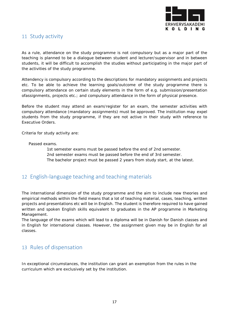

# <span id="page-28-0"></span>11 Study activity

As a rule, attendance on the study programme is not compulsory but as a major part of the teaching is planned to be a dialogue between student and lecturer/supervisor and in between students, it will be difficult to accomplish the studies without participating in the major part of the activities of the study programme.

Attendency is compulsory according to the descriptions for mandatory assignments and projects etc. To be able to achieve the learning goals/outcome of the study programme there is compulsory attendance on certain study elements in the form of e.g. submission/presentation ofassignments, projects etc.; and compulsory attendance in the form of physical presence.

Before the student may attend an exam/register for an exam, the semester activities with compulsory attendance (mandatory assignments) must be approved. The institution may expel students from the study programme, if they are not active in their study with reference to Executive Orders.

Criteria for study activity are:

Passed exams.

1st semester exams must be passed before the end of 2nd semester. 2nd semester exams must be passed before the end of 3rd semester. The bachelor project must be passed 2 years from study start, at the latest.

# <span id="page-28-1"></span>12 English-language teaching and teaching materials

The international dimension of the study programme and the aim to include new theories and empirical methods within the field means that a lot of teaching material, cases, teaching, written projects and presentations etc will be in English. The student is therefore required to have gained written and spoken English skills equivalent to graduates in the AP programme in Marketing Management.

The language of the exams which will lead to a diploma will be in Danish for Danish classes and in English for international classes. However, the assignment given may be in English for all classes.

# <span id="page-28-2"></span>13 Rules of dispensation

In exceptional circumstances, the institution can grant an exemption from the rules in the curriculum which are exclusively set by the institution.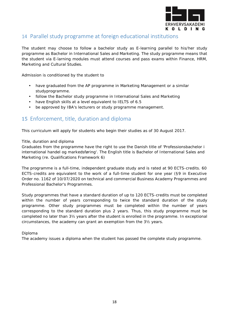

# <span id="page-29-0"></span>14 Parallel study programme at foreign educational institutions

The student may choose to follow a bachelor study as E-learning parallel to his/her study programme as Bachelor in International Sales and Marketing. The study programme means that the student via E-larning modules must attend courses and pass exams within Finance, HRM, Marketing and Cultural Studies.

Admission is conditioned by the student to

- have graduated from the AP programme in Marketing Management or a similar studyprogramme.
- follow the Bachelor study programme in International Sales and Marketing
- have English skills at a level equivalent to IELTS of 6.5
- be approved by IBA's lecturers or study programme management.

# <span id="page-29-1"></span>15 Enforcement, title, duration and diploma

This curriculum will apply for students who begin their studies as of 30 August 2017.

#### *Title, duration and diploma*

Graduates from the programme have the right to use the Danish title of 'Professionsbachelor i international handel og markedsføring'. The English title is Bachelor of International Sales and Marketing (re. Qualifications Framework 6)

The programme is a full-time, independent graduate study and is rated at 90 ECTS-credits. 60 ECTS-credits are equivalent to the work of a full-time student for one year (§9 in Executive Order no. 1162 of 10/07/2020 on technical and commercial Business Academy Programmes and Professional Bachelor's Programmes.

Study programmes that have a standard duration of up to 120 ECTS-credits must be completed within the number of years corresponding to twice the standard duration of the study programme. Other study programmes must be completed within the number of years corresponding to the standard duration plus 2 years. Thus, this study programme must be completed no later than 3½ years after the student is enrolled in the programme. In exceptional circumstances, the academy can grant an exemption from the 3½ years.

#### *Diploma*

The academy issues a diploma when the student has passed the complete study programme.